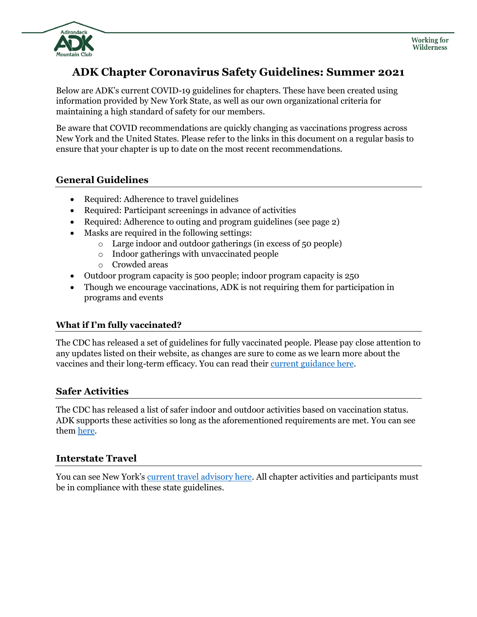

# **ADK Chapter Coronavirus Safety Guidelines: Summer 2021**

Below are ADK's current COVID-19 guidelines for chapters. These have been created using information provided by New York State, as well as our own organizational criteria for maintaining a high standard of safety for our members.

Be aware that COVID recommendations are quickly changing as vaccinations progress across New York and the United States. Please refer to the links in this document on a regular basis to ensure that your chapter is up to date on the most recent recommendations.

### **General Guidelines**

- Required: Adherence to travel guidelines
- Required: Participant screenings in advance of activities
- Required: Adherence to outing and program guidelines (see page 2)
- Masks are required in the following settings:
	- o Large indoor and outdoor gatherings (in excess of 50 people)
	- o Indoor gatherings with unvaccinated people
	- o Crowded areas
- Outdoor program capacity is 500 people; indoor program capacity is 250
- Though we encourage vaccinations, ADK is not requiring them for participation in programs and events

### **What if I'm fully vaccinated?**

The CDC has released a set of guidelines for fully vaccinated people. Please pay close attention to any updates listed on their website, as changes are sure to come as we learn more about the vaccines and their long-term efficacy. You can read their [current guidance here.](https://www.cdc.gov/coronavirus/2019-ncov/vaccines/fully-vaccinated-guidance.html)

### **Safer Activities**

The CDC has released a list of safer indoor and outdoor activities based on vaccination status. ADK supports these activities so long as the aforementioned requirements are met. You can see them [here.](https://www.cdc.gov/coronavirus/2019-ncov/daily-life-coping/participate-in-activities.html)

### **Interstate Travel**

You can see New York's [current travel advisory here.](https://coronavirus.health.ny.gov/covid-19-travel-advisory) All chapter activities and participants must be in compliance with these state guidelines.